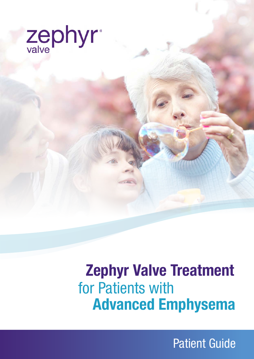

# **Advanced Emphysema** for Patients with  **Zephyr Valve Treatment**

Patient Guide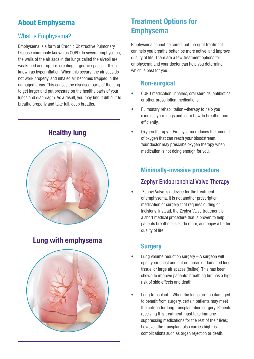# **About Emphysema**

#### What is Emphysema?

Emphysema is a form of Chronic Obstructive Pulmonary Disease commonly known as COPD. In severe emphysema, the walls of the air sacs in the lungs called the alveoli are weakened and rupture, creating larger air spaces – this is known as hyperinflation. When this occurs, the air sacs do not work properly, and inhaled air becomes trapped in the damaged areas. This causes the diseased parts of the lung to get larger and put pressure on the healthy parts of your lungs and diaphragm. As a result, you may find it difficult to breathe properly and take full, deep breaths.



# **Lung with emphysema**



# **Treatment Options for Emphysema**

Emphysema cannot be cured, but the right treatment can help you breathe better, be more active, and improve quality of life. There are a few treatment options for emphysema and your doctor can help you determine which is best for you.

#### **Non-surgical**

- COPD medication: inhalers, oral steroids, antibiotics, or other prescription medications.
- Pulmonary rehabilitation –therapy to help you exercise your lungs and learn how to breathe more efficiently.
- Oxygen therapy Emphysema reduces the amount of oxygen that can reach your bloodstream. Your doctor may prescribe oxygen therapy when medication is not doing enough for you.

#### **Minimally-invasive procedure**

#### Zephyr Endobronchial Valve Therapy

• Zephyr Valve is a device for the treatment of emphysema. It is not another prescription medication or surgery that requires cutting or incisions. Instead, the Zephyr Valve treatment is a short medical procedure that is proven to help patients breathe easier, do more, and enjoy a better quality of life.

#### **Surgery**

- Lung volume reduction surgery  $-$  A surgeon will open your chest and cut out areas of damaged lung tissue, or large air spaces (bullae). This has been shown to improve patients' breathing but has a high risk of side effects and death.
- Lung transplant When the lungs are too damaged to benefit from surgery, certain patients may meet the criteria for lung transplantation surgery. Patients receiving this treatment must take immunesuppressing medications for the rest of their lives; however, the transplant also carries high risk complications such as organ rejection or death.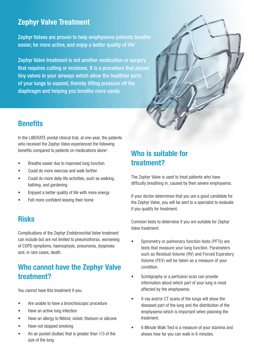# **Zephyr Valve Treatment**

Zephyr Valves are proven to help emphysema patients breathe easier, be more active, and enjoy a better quality of life<sup>1</sup>

Zephyr Valve treatment is not another medication or surgery that requires cutting or incisions. It is a procedure that places tiny valves in your airways which allow the healthier parts of your lungs to expand, thereby lifting pressure off the diaphragm and helping you breathe more easily.



## **Benefits**

In the LIBERATE pivotal clinical trial, at one-year, the patients who received the Zephyr Valve experienced the following benefits compared to patients on medications alone<sup>1</sup>.

- Breathe easier due to improved lung function
- Could do more exercise and walk farther
- Could do more daily life activities, such as walking, bathing, and gardening
- Enjoyed a better quality of life with more energy
- Felt more confident leaving their home

# **Risks**

Complications of the Zephyr Endobronchial Valve treatment can include but are not limited to pneumothorax, worsening of COPD symptoms, haemoptysis, pneumonia, dyspnoea and, in rare cases, death.

# **Who cannot have the Zephyr Valve treatment?**

You cannot have this treatment if you:

- Are unable to have a bronchoscopic procedure
- Have an active lung infection
- Have an allergy to Nitinol, nickel, titanium or silicone
- Have not stopped smoking
- An air pocket (bullae) that is greater than 1/3 of the size of the lung

# **Who is suitable for treatment?**

The Zephyr Valve is used to treat patients who have difficulty breathing in, caused by their severe emphysema.

If your doctor determines that you are a good candidate for the Zephyr Valve, you will be sent to a specialist to evaluate if you qualify for treatment.

Common tests to determine if you are suitable for Zephyr Valve treatment:

- Spirometry or pulmonary function tests (PFTs) are tests that measure your lung function. Parameters such as Residual Volume (RV) and Forced Expiratory Volume (FEV) will be taken as a measure of your condition.
- Scintigraphy or a perfusion scan can provide information about which part of your lung is most affected by the emphysema.
- X-ray and/or CT scans of the lungs will show the diseased part of the lung and the distribution of the emphysema which is important when planning the treatment.
- 6 Minute Walk Test is a measure of your stamina and shows how far you can walk in 6 minutes.